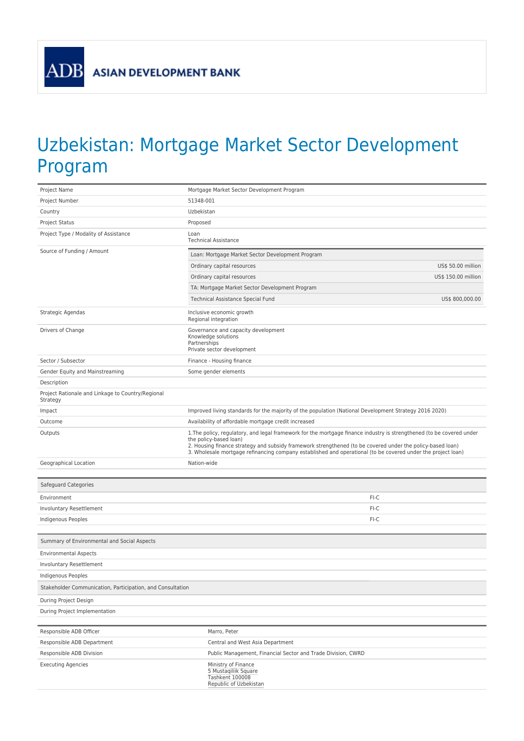**ADB** 

## Uzbekistan: Mortgage Market Sector Development Program

| Project Name                                                  | Mortgage Market Sector Development Program                                                                                                                                                                                                                                                                                                                                    |
|---------------------------------------------------------------|-------------------------------------------------------------------------------------------------------------------------------------------------------------------------------------------------------------------------------------------------------------------------------------------------------------------------------------------------------------------------------|
| Project Number                                                | 51348-001                                                                                                                                                                                                                                                                                                                                                                     |
| Country                                                       | Uzbekistan                                                                                                                                                                                                                                                                                                                                                                    |
| Project Status                                                | Proposed                                                                                                                                                                                                                                                                                                                                                                      |
| Project Type / Modality of Assistance                         | Loan<br><b>Technical Assistance</b>                                                                                                                                                                                                                                                                                                                                           |
| Source of Funding / Amount                                    | Loan: Mortgage Market Sector Development Program                                                                                                                                                                                                                                                                                                                              |
|                                                               | Ordinary capital resources<br>US\$ 50.00 million                                                                                                                                                                                                                                                                                                                              |
|                                                               | Ordinary capital resources<br>US\$ 150.00 million                                                                                                                                                                                                                                                                                                                             |
|                                                               | TA: Mortgage Market Sector Development Program                                                                                                                                                                                                                                                                                                                                |
|                                                               | Technical Assistance Special Fund<br>US\$ 800,000.00                                                                                                                                                                                                                                                                                                                          |
| Strategic Agendas                                             | Inclusive economic growth<br>Regional integration                                                                                                                                                                                                                                                                                                                             |
| Drivers of Change                                             | Governance and capacity development<br>Knowledge solutions<br>Partnerships<br>Private sector development                                                                                                                                                                                                                                                                      |
| Sector / Subsector                                            | Finance - Housing finance                                                                                                                                                                                                                                                                                                                                                     |
| Gender Equity and Mainstreaming                               | Some gender elements                                                                                                                                                                                                                                                                                                                                                          |
| Description                                                   |                                                                                                                                                                                                                                                                                                                                                                               |
| Project Rationale and Linkage to Country/Regional<br>Strategy |                                                                                                                                                                                                                                                                                                                                                                               |
| Impact                                                        | Improved living standards for the majority of the population (National Development Strategy 2016 2020)                                                                                                                                                                                                                                                                        |
| Outcome                                                       | Availability of affordable mortgage credit increased                                                                                                                                                                                                                                                                                                                          |
| Outputs                                                       | 1. The policy, regulatory, and legal framework for the mortgage finance industry is strengthened (to be covered under<br>the policy-based loan)<br>2. Housing finance strategy and subsidy framework strengthened (to be covered under the policy-based loan)<br>3. Wholesale mortgage refinancing company established and operational (to be covered under the project loan) |
| Geographical Location                                         | Nation-wide                                                                                                                                                                                                                                                                                                                                                                   |
| Safeguard Categories                                          |                                                                                                                                                                                                                                                                                                                                                                               |
| Environment                                                   | FI-C                                                                                                                                                                                                                                                                                                                                                                          |
| Involuntary Resettlement                                      | FI-C                                                                                                                                                                                                                                                                                                                                                                          |
| Indigenous Peoples                                            | FI-C                                                                                                                                                                                                                                                                                                                                                                          |
| Summary of Environmental and Social Aspects                   |                                                                                                                                                                                                                                                                                                                                                                               |
| <b>Environmental Aspects</b>                                  |                                                                                                                                                                                                                                                                                                                                                                               |
| Involuntary Resettlement                                      |                                                                                                                                                                                                                                                                                                                                                                               |
| <b>Indigenous Peoples</b>                                     |                                                                                                                                                                                                                                                                                                                                                                               |
| Stakeholder Communication, Participation, and Consultation    |                                                                                                                                                                                                                                                                                                                                                                               |
| During Project Design                                         |                                                                                                                                                                                                                                                                                                                                                                               |
| During Project Implementation                                 |                                                                                                                                                                                                                                                                                                                                                                               |
|                                                               |                                                                                                                                                                                                                                                                                                                                                                               |
| Responsible ADB Officer                                       | Marro, Peter                                                                                                                                                                                                                                                                                                                                                                  |
| Responsible ADB Department                                    | Central and West Asia Department                                                                                                                                                                                                                                                                                                                                              |
| Responsible ADB Division                                      | Public Management, Financial Sector and Trade Division, CWRD                                                                                                                                                                                                                                                                                                                  |
| <b>Executing Agencies</b>                                     | Ministry of Finance<br>5 Mustaqiliik Square<br>Tashkent 100008<br>Republic of Uzbekistan                                                                                                                                                                                                                                                                                      |